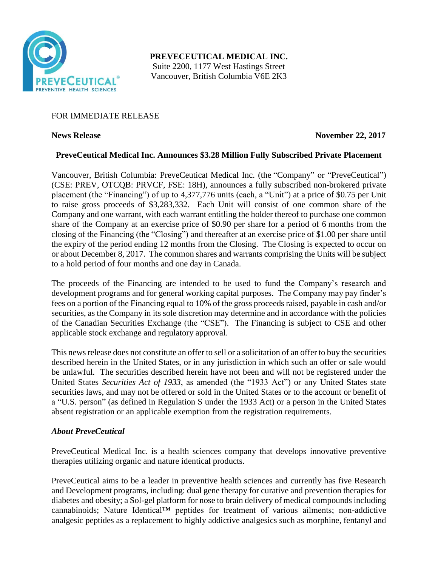

**PREVECEUTICAL MEDICAL INC.** Suite 2200, 1177 West Hastings Street Vancouver, British Columbia V6E 2K3

# FOR IMMEDIATE RELEASE

## **News Release November 22, 2017**

# **PreveCeutical Medical Inc. Announces \$3.28 Million Fully Subscribed Private Placement**

Vancouver, British Columbia: PreveCeutical Medical Inc. (the "Company" or "PreveCeutical") (CSE: PREV, OTCQB: PRVCF, FSE: 18H), announces a fully subscribed non-brokered private placement (the "Financing") of up to 4,377,776 units (each, a "Unit") at a price of \$0.75 per Unit to raise gross proceeds of \$3,283,332. Each Unit will consist of one common share of the Company and one warrant, with each warrant entitling the holder thereof to purchase one common share of the Company at an exercise price of \$0.90 per share for a period of 6 months from the closing of the Financing (the "Closing") and thereafter at an exercise price of \$1.00 per share until the expiry of the period ending 12 months from the Closing. The Closing is expected to occur on or about December 8, 2017. The common shares and warrants comprising the Units will be subject to a hold period of four months and one day in Canada.

The proceeds of the Financing are intended to be used to fund the Company's research and development programs and for general working capital purposes. The Company may pay finder's fees on a portion of the Financing equal to 10% of the gross proceeds raised, payable in cash and/or securities, as the Company in its sole discretion may determine and in accordance with the policies of the Canadian Securities Exchange (the "CSE"). The Financing is subject to CSE and other applicable stock exchange and regulatory approval.

This news release does not constitute an offer to sell or a solicitation of an offer to buy the securities described herein in the United States, or in any jurisdiction in which such an offer or sale would be unlawful. The securities described herein have not been and will not be registered under the United States *Securities Act of 1933*, as amended (the "1933 Act") or any United States state securities laws, and may not be offered or sold in the United States or to the account or benefit of a "U.S. person" (as defined in Regulation S under the 1933 Act) or a person in the United States absent registration or an applicable exemption from the registration requirements.

### *About PreveCeutical*

PreveCeutical Medical Inc. is a health sciences company that develops innovative preventive therapies utilizing organic and nature identical products.

PreveCeutical aims to be a leader in preventive health sciences and currently has five Research and Development programs, including: dual gene therapy for curative and prevention therapies for diabetes and obesity; a Sol-gel platform for nose to brain delivery of medical compounds including cannabinoids; Nature Identical™ peptides for treatment of various ailments; non-addictive analgesic peptides as a replacement to highly addictive analgesics such as morphine, fentanyl and